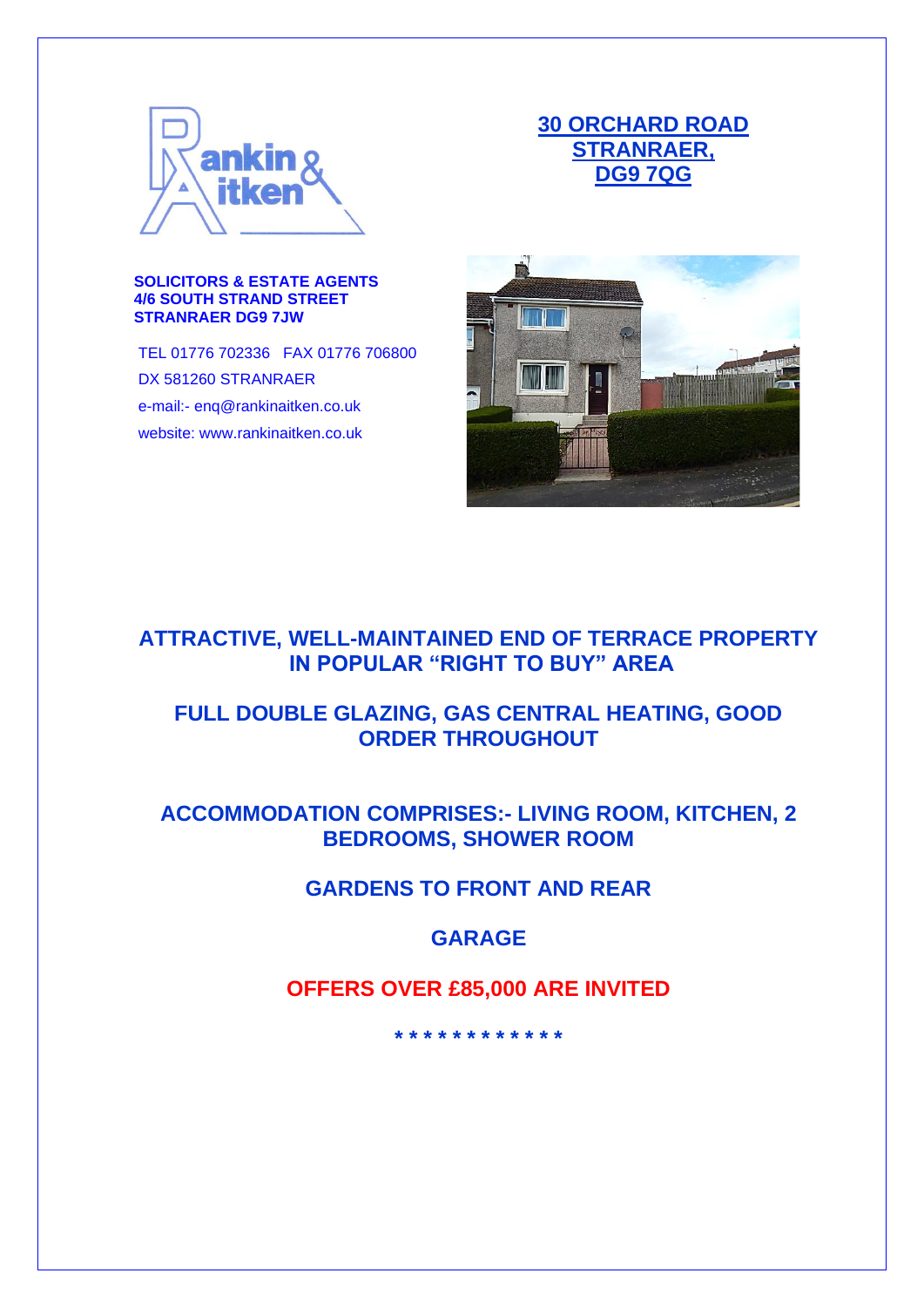

# **30 ORCHARD ROAD STRANRAER, DG9 7QG**

#### **SOLICITORS & ESTATE AGENTS 4/6 SOUTH STRAND STREET STRANRAER DG9 7JW**

TEL 01776 702336 FAX 01776 706800 DX 581260 STRANRAER e-mail:- enq@rankinaitken.co.uk website: www.rankinaitken.co.uk



# **ATTRACTIVE, WELL-MAINTAINED END OF TERRACE PROPERTY IN POPULAR "RIGHT TO BUY" AREA**

# **FULL DOUBLE GLAZING, GAS CENTRAL HEATING, GOOD ORDER THROUGHOUT**

# **ACCOMMODATION COMPRISES:- LIVING ROOM, KITCHEN, 2 BEDROOMS, SHOWER ROOM**

# **GARDENS TO FRONT AND REAR**

### **GARAGE**

# **OFFERS OVER £85,000 ARE INVITED**

**\* \* \* \* \* \* \* \* \* \* \* \***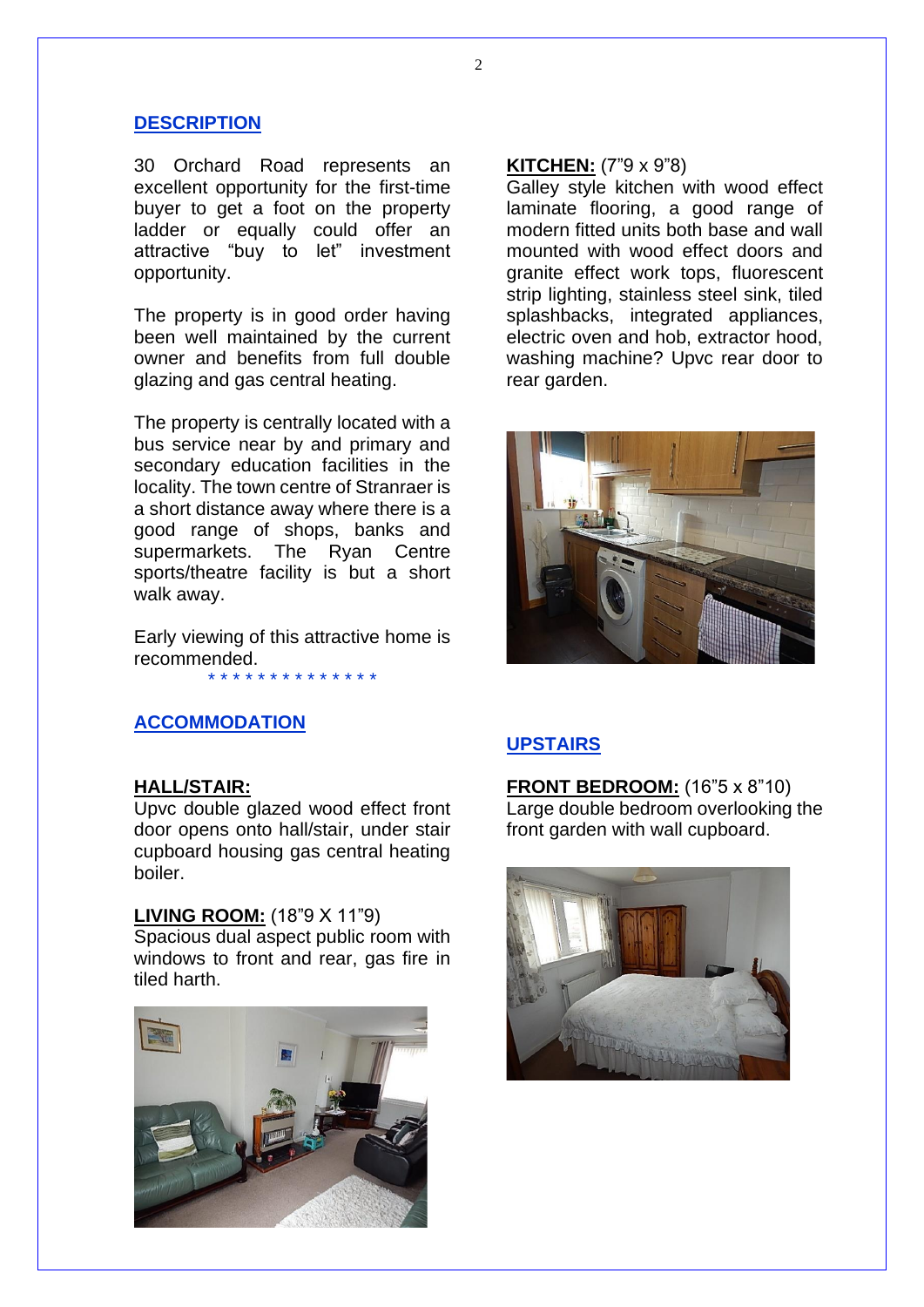### **DESCRIPTION**

30 Orchard Road represents an excellent opportunity for the first-time buyer to get a foot on the property ladder or equally could offer an attractive "buy to let" investment opportunity.

The property is in good order having been well maintained by the current owner and benefits from full double glazing and gas central heating.

The property is centrally located with a bus service near by and primary and secondary education facilities in the locality. The town centre of Stranraer is a short distance away where there is a good range of shops, banks and supermarkets. The Ryan Centre sports/theatre facility is but a short walk away.

Early viewing of this attractive home is recommended.

#### \* \* \* \* \* \* \* \* \* \* \* \* \* \*

### **ACCOMMODATION**

#### **HALL/STAIR:**

Upvc double glazed wood effect front door opens onto hall/stair, under stair cupboard housing gas central heating boiler.

#### **LIVING ROOM:** (18"9 X 11"9)

Spacious dual aspect public room with windows to front and rear, gas fire in tiled harth.



#### **KITCHEN:** (7"9 x 9"8)

Galley style kitchen with wood effect laminate flooring, a good range of modern fitted units both base and wall mounted with wood effect doors and granite effect work tops, fluorescent strip lighting, stainless steel sink, tiled splashbacks, integrated appliances, electric oven and hob, extractor hood, washing machine? Upvc rear door to rear garden.



### **UPSTAIRS**

**FRONT BEDROOM:** (16"5 x 8"10) Large double bedroom overlooking the front garden with wall cupboard.